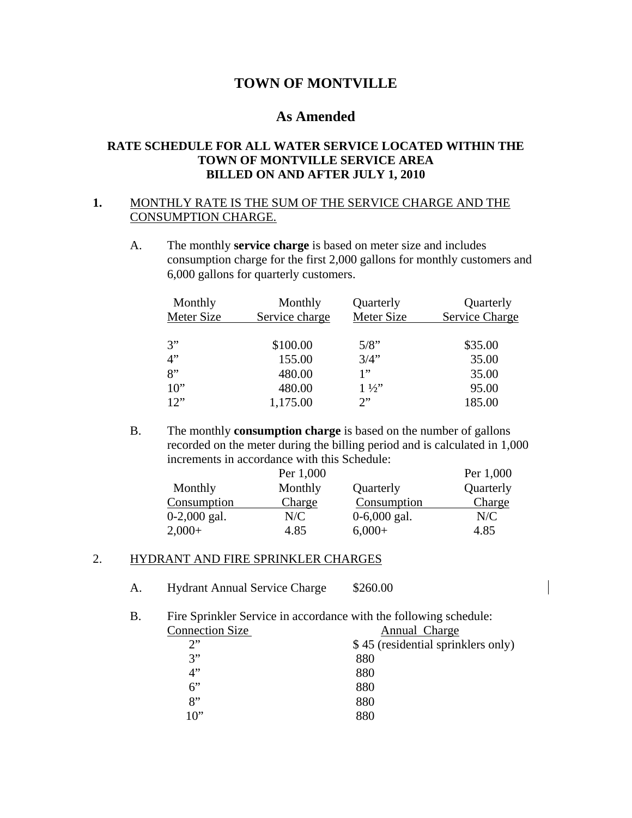# **TOWN OF MONTVILLE**

## **As Amended**

### **RATE SCHEDULE FOR ALL WATER SERVICE LOCATED WITHIN THE TOWN OF MONTVILLE SERVICE AREA BILLED ON AND AFTER JULY 1, 2010**

### **1.** MONTHLY RATE IS THE SUM OF THE SERVICE CHARGE AND THE CONSUMPTION CHARGE.

A. The monthly **service charge** is based on meter size and includes consumption charge for the first 2,000 gallons for monthly customers and 6,000 gallons for quarterly customers.

| Monthly<br>Meter Size | Monthly<br>Service charge | Quarterly<br>Meter Size | Quarterly<br><b>Service Charge</b> |
|-----------------------|---------------------------|-------------------------|------------------------------------|
|                       |                           |                         |                                    |
| 3"                    | \$100.00                  | $5/8$ "                 | \$35.00                            |
| 4"                    | 155.00                    | 3/4"                    | 35.00                              |
| 8"                    | 480.00                    | 1"                      | 35.00                              |
| $10$ "                | 480.00                    | $1\frac{1}{2}$          | 95.00                              |
| 12                    | 1,175.00                  | 2"                      | 185.00                             |
|                       |                           |                         |                                    |

B. The monthly **consumption charge** is based on the number of gallons recorded on the meter during the billing period and is calculated in 1,000 increments in accordance with this Schedule:

|                | Per 1,000 |                | Per 1,000 |
|----------------|-----------|----------------|-----------|
| Monthly        | Monthly   | Quarterly      | Quarterly |
| Consumption    | Charge    | Consumption    | Charge    |
| $0-2,000$ gal. | N/C       | $0-6,000$ gal. | N/C       |
| $2,000+$       | 4.85      | $6,000+$       | 4.85      |

#### 2. HYDRANT AND FIRE SPRINKLER CHARGES

- A. Hydrant Annual Service Charge \$260.00
- B. Fire Sprinkler Service in accordance with the following schedule:<br>Connection Size Annual Charge Connection Size

| CONNECTION PITC | Allitual Ullarge                   |
|-----------------|------------------------------------|
| 2               | \$45 (residential sprinklers only) |
| 3"              | 880                                |
| 4"              | 880                                |
| $6$ "           | 880                                |
| 8"              | 880                                |
| 10"             | 880                                |
|                 |                                    |